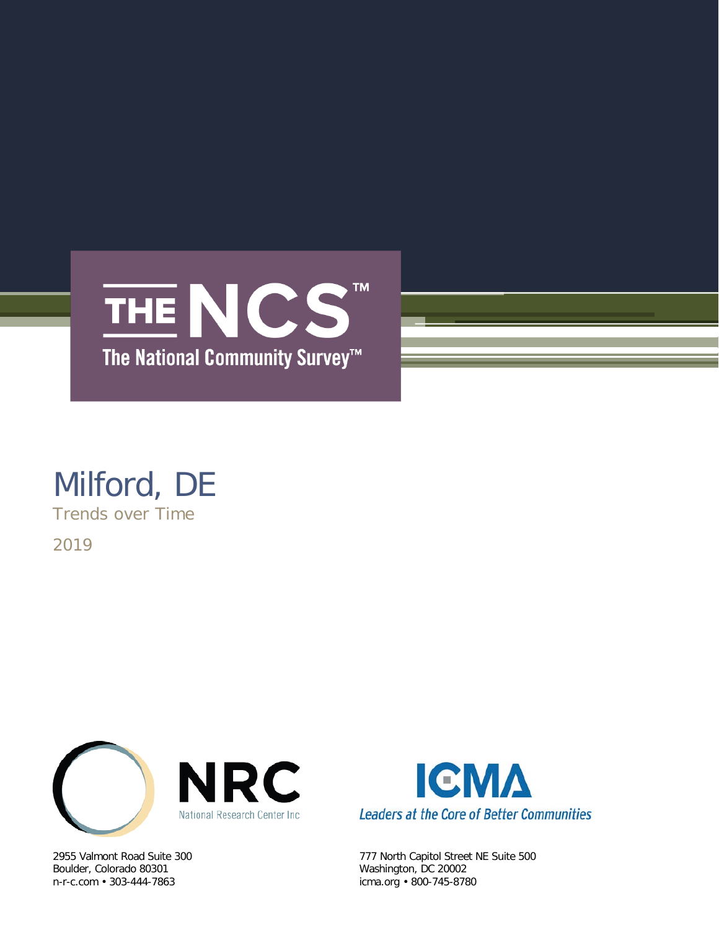

## Milford, DE

Trends over Time

2019



Boulder, Colorado 80301 Washington, DC 20002



2955 Valmont Road Suite 300 777 North Capitol Street NE Suite 500 icma.org • 800-745-8780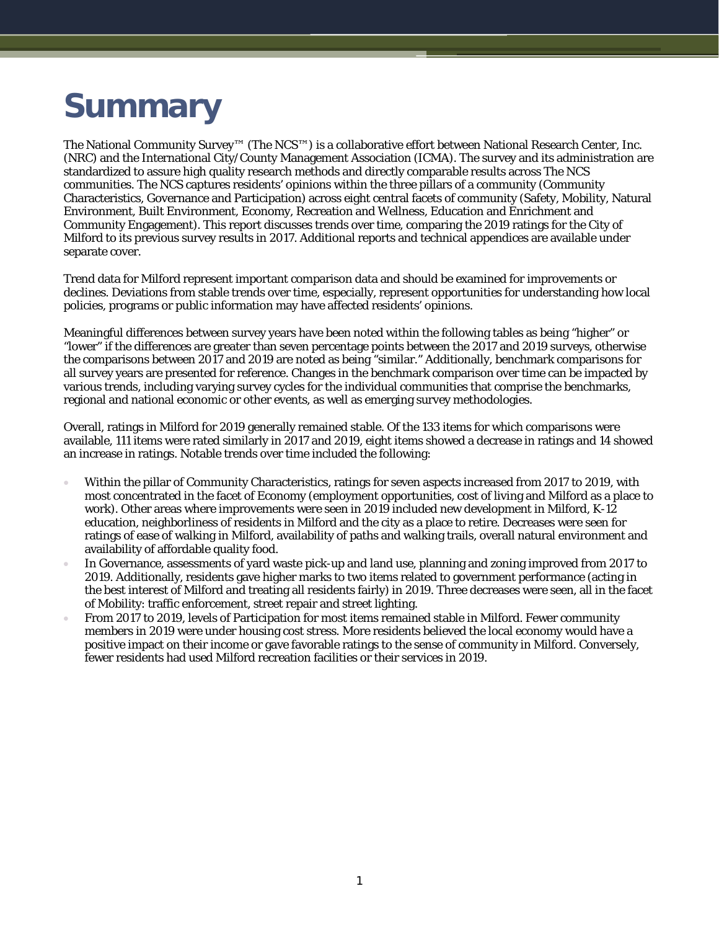# **Summary**

The National Community Survey™ (The NCS™) is a collaborative effort between National Research Center, Inc. (NRC) and the International City/County Management Association (ICMA). The survey and its administration are standardized to assure high quality research methods and directly comparable results across The NCS communities. The NCS captures residents' opinions within the three pillars of a community (Community Characteristics, Governance and Participation) across eight central facets of community (Safety, Mobility, Natural Environment, Built Environment, Economy, Recreation and Wellness, Education and Enrichment and Community Engagement). This report discusses trends over time, comparing the 2019 ratings for the City of Milford to its previous survey results in 2017. Additional reports and technical appendices are available under separate cover.

Trend data for Milford represent important comparison data and should be examined for improvements or declines. Deviations from stable trends over time, especially, represent opportunities for understanding how local policies, programs or public information may have affected residents' opinions.

Meaningful differences between survey years have been noted within the following tables as being "higher" or "lower" if the differences are greater than seven percentage points between the 2017 and 2019 surveys, otherwise the comparisons between 2017 and 2019 are noted as being "similar." Additionally, benchmark comparisons for all survey years are presented for reference. Changes in the benchmark comparison over time can be impacted by various trends, including varying survey cycles for the individual communities that comprise the benchmarks, regional and national economic or other events, as well as emerging survey methodologies.

Overall, ratings in Milford for 2019 generally remained stable. Of the 133 items for which comparisons were available, 111 items were rated similarly in 2017 and 2019, eight items showed a decrease in ratings and 14 showed an increase in ratings. Notable trends over time included the following:

- Within the pillar of Community Characteristics, ratings for seven aspects increased from 2017 to 2019, with most concentrated in the facet of Economy (employment opportunities, cost of living and Milford as a place to work). Other areas where improvements were seen in 2019 included new development in Milford, K-12 education, neighborliness of residents in Milford and the city as a place to retire. Decreases were seen for ratings of ease of walking in Milford, availability of paths and walking trails, overall natural environment and availability of affordable quality food.
- In Governance, assessments of yard waste pick-up and land use, planning and zoning improved from 2017 to 2019. Additionally, residents gave higher marks to two items related to government performance (acting in the best interest of Milford and treating all residents fairly) in 2019. Three decreases were seen, all in the facet of Mobility: traffic enforcement, street repair and street lighting.
- From 2017 to 2019, levels of Participation for most items remained stable in Milford. Fewer community members in 2019 were under housing cost stress. More residents believed the local economy would have a positive impact on their income or gave favorable ratings to the sense of community in Milford. Conversely, fewer residents had used Milford recreation facilities or their services in 2019.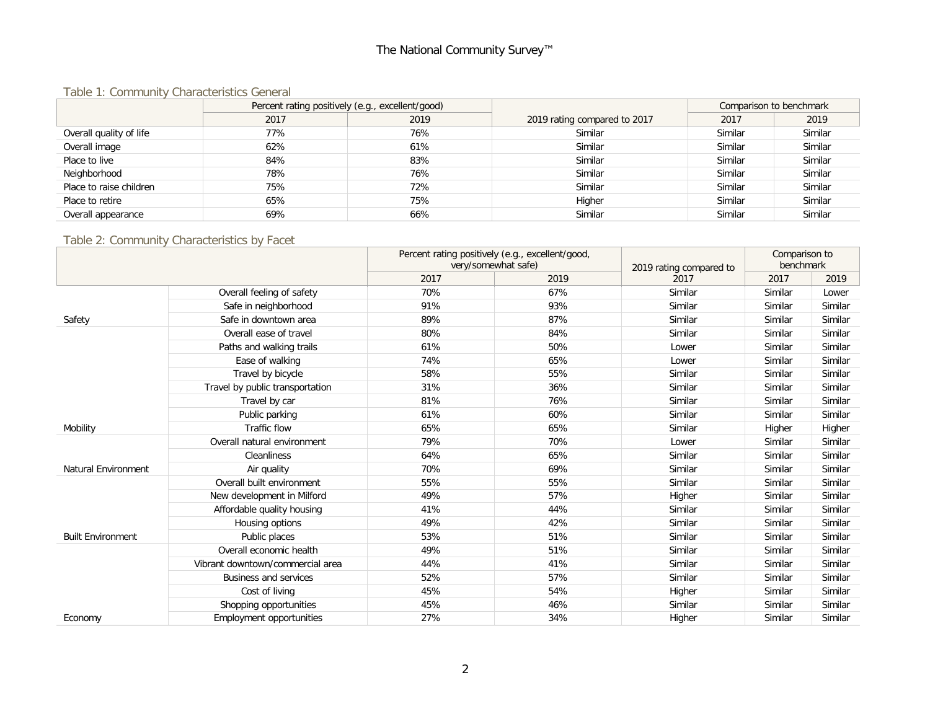### The National Community Survey™

#### Table 1: Community Characteristics General

|                         | Percent rating positively (e.g., excellent/good) |      |                              | Comparison to benchmark |         |
|-------------------------|--------------------------------------------------|------|------------------------------|-------------------------|---------|
|                         | 2017                                             | 2019 | 2019 rating compared to 2017 | 2017                    | 2019    |
| Overall quality of life | 77%                                              | 76%  | Similar                      | Similar                 | Similar |
| Overall image           | 62%                                              | 61%  | Similar                      | Similar                 | Similar |
| Place to live           | 84%                                              | 83%  | Similar                      | Similar                 | Similar |
| Neighborhood            | 78%                                              | 76%  | Similar                      | Similar                 | Similar |
| Place to raise children | 75%                                              | 72%  | Similar                      | Similar                 | Similar |
| Place to retire         | 65%                                              | 75%  | Higher                       | Similar                 | Similar |
| Overall appearance      | 69%                                              | 66%  | Similar                      | Similar                 | Similar |

#### Table 2: Community Characteristics by Facet

|                            |                                  | Percent rating positively (e.g., excellent/good, |                     |                         | Comparison to |         |
|----------------------------|----------------------------------|--------------------------------------------------|---------------------|-------------------------|---------------|---------|
|                            |                                  |                                                  | very/somewhat safe) | 2019 rating compared to | benchmark     |         |
|                            |                                  | 2017                                             | 2019                | 2017                    | 2017          | 2019    |
|                            | Overall feeling of safety        | 70%                                              | 67%                 | Similar                 | Similar       | Lower   |
|                            | Safe in neighborhood             | 91%                                              | 93%                 | Similar                 | Similar       | Similar |
| Safety                     | Safe in downtown area            | 89%                                              | 87%                 | Similar                 | Similar       | Similar |
|                            | Overall ease of travel           | 80%                                              | 84%                 | Similar                 | Similar       | Similar |
|                            | Paths and walking trails         | 61%                                              | 50%                 | Lower                   | Similar       | Similar |
|                            | Ease of walking                  | 74%                                              | 65%                 | Lower                   | Similar       | Similar |
|                            | Travel by bicycle                | 58%                                              | 55%                 | Similar                 | Similar       | Similar |
|                            | Travel by public transportation  | 31%                                              | 36%                 | Similar                 | Similar       | Similar |
|                            | Travel by car                    | 81%                                              | 76%                 | Similar                 | Similar       | Similar |
|                            | Public parking                   | 61%                                              | 60%                 | Similar                 | Similar       | Similar |
| Mobility                   | Traffic flow                     | 65%                                              | 65%                 | Similar                 | Higher        | Higher  |
|                            | Overall natural environment      | 79%                                              | 70%                 | Lower                   | Similar       | Similar |
|                            | <b>Cleanliness</b>               | 64%                                              | 65%                 | Similar                 | Similar       | Similar |
| <b>Natural Environment</b> | Air quality                      | 70%                                              | 69%                 | Similar                 | Similar       | Similar |
|                            | Overall built environment        | 55%                                              | 55%                 | Similar                 | Similar       | Similar |
|                            | New development in Milford       | 49%                                              | 57%                 | Higher                  | Similar       | Similar |
|                            | Affordable quality housing       | 41%                                              | 44%                 | Similar                 | Similar       | Similar |
|                            | Housing options                  | 49%                                              | 42%                 | Similar                 | Similar       | Similar |
| <b>Built Environment</b>   | Public places                    | 53%                                              | 51%                 | Similar                 | Similar       | Similar |
|                            | Overall economic health          | 49%                                              | 51%                 | Similar                 | Similar       | Similar |
|                            | Vibrant downtown/commercial area | 44%                                              | 41%                 | Similar                 | Similar       | Similar |
|                            | <b>Business and services</b>     | 52%                                              | 57%                 | Similar                 | Similar       | Similar |
|                            | Cost of living                   | 45%                                              | 54%                 | Higher                  | Similar       | Similar |
|                            | Shopping opportunities           | 45%                                              | 46%                 | Similar                 | Similar       | Similar |
| Economy                    | <b>Employment opportunities</b>  | 27%                                              | 34%                 | Higher                  | Similar       | Similar |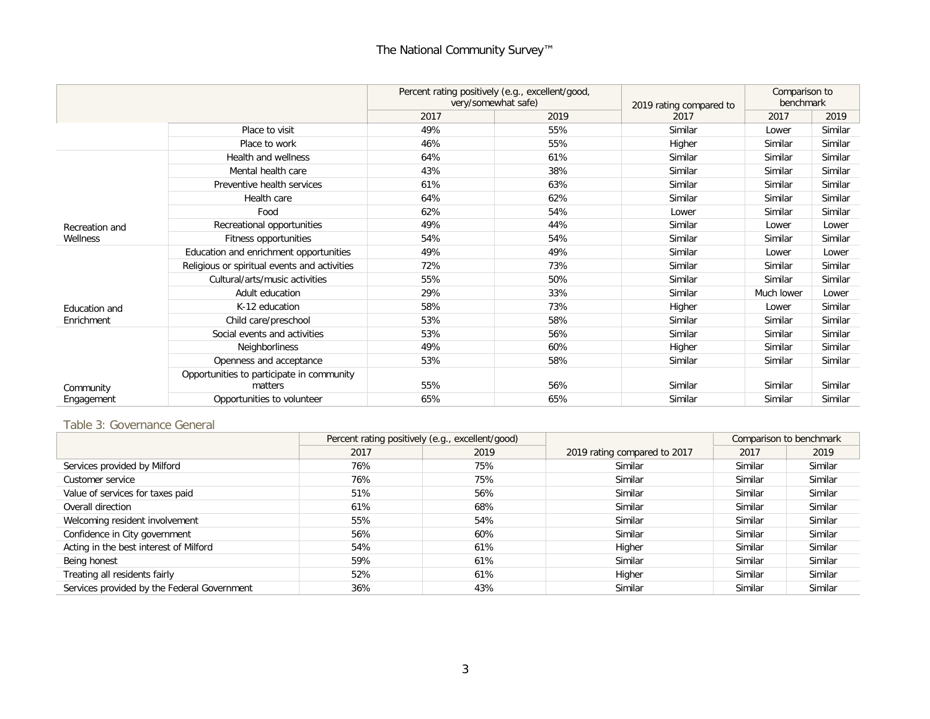## The National Community Survey™

|                |                                                      | Percent rating positively (e.g., excellent/good,<br>very/somewhat safe) |      | 2019 rating compared to | Comparison to<br>benchmark |         |
|----------------|------------------------------------------------------|-------------------------------------------------------------------------|------|-------------------------|----------------------------|---------|
|                |                                                      | 2017                                                                    | 2019 | 2017                    | 2017                       | 2019    |
|                | Place to visit                                       | 49%                                                                     | 55%  | Similar                 | Lower                      | Similar |
|                | Place to work                                        | 46%                                                                     | 55%  | Higher                  | Similar                    | Similar |
|                | Health and wellness                                  | 64%                                                                     | 61%  | Similar                 | Similar                    | Similar |
|                | Mental health care                                   | 43%                                                                     | 38%  | Similar                 | Similar                    | Similar |
|                | Preventive health services                           | 61%                                                                     | 63%  | Similar                 | Similar                    | Similar |
|                | Health care                                          | 64%                                                                     | 62%  | Similar                 | Similar                    | Similar |
|                | Food                                                 | 62%                                                                     | 54%  | Lower                   | Similar                    | Similar |
| Recreation and | Recreational opportunities                           | 49%                                                                     | 44%  | Similar                 | Lower                      | Lower   |
| Wellness       | Fitness opportunities                                | 54%                                                                     | 54%  | Similar                 | Similar                    | Similar |
|                | Education and enrichment opportunities               | 49%                                                                     | 49%  | Similar                 | Lower                      | Lower   |
|                | Religious or spiritual events and activities         | 72%                                                                     | 73%  | Similar                 | Similar                    | Similar |
|                | Cultural/arts/music activities                       | 55%                                                                     | 50%  | Similar                 | Similar                    | Similar |
|                | Adult education                                      | 29%                                                                     | 33%  | Similar                 | Much lower                 | Lower   |
| Education and  | K-12 education                                       | 58%                                                                     | 73%  | Higher                  | Lower                      | Similar |
| Enrichment     | Child care/preschool                                 | 53%                                                                     | 58%  | Similar                 | Similar                    | Similar |
|                | Social events and activities                         | 53%                                                                     | 56%  | Similar                 | Similar                    | Similar |
|                | Neighborliness                                       | 49%                                                                     | 60%  | Higher                  | Similar                    | Similar |
|                | Openness and acceptance                              | 53%                                                                     | 58%  | Similar                 | Similar                    | Similar |
| Community      | Opportunities to participate in community<br>matters | 55%                                                                     | 56%  | Similar                 | Similar                    | Similar |
| Engagement     | Opportunities to volunteer                           | 65%                                                                     | 65%  | Similar                 | Similar                    | Similar |

#### Table 3: Governance General

|                                             | Percent rating positively (e.g., excellent/good) |      |                              | Comparison to benchmark |         |
|---------------------------------------------|--------------------------------------------------|------|------------------------------|-------------------------|---------|
|                                             | 2017                                             | 2019 | 2019 rating compared to 2017 | 2017                    | 2019    |
| Services provided by Milford                | 76%                                              | 75%  | Similar                      | Similar                 | Similar |
| Customer service                            | 76%                                              | 75%  | Similar                      | Similar                 | Similar |
| Value of services for taxes paid            | 51%                                              | 56%  | Similar                      | Similar                 | Similar |
| Overall direction                           | 61%                                              | 68%  | Similar                      | Similar                 | Similar |
| Welcoming resident involvement              | 55%                                              | 54%  | Similar                      | Similar                 | Similar |
| Confidence in City government               | 56%                                              | 60%  | Similar                      | Similar                 | Similar |
| Acting in the best interest of Milford      | 54%                                              | 61%  | Higher                       | Similar                 | Similar |
| Being honest                                | 59%                                              | 61%  | Similar                      | Similar                 | Similar |
| Treating all residents fairly               | 52%                                              | 61%  | Higher                       | Similar                 | Similar |
| Services provided by the Federal Government | 36%                                              | 43%  | Similar                      | Similar                 | Similar |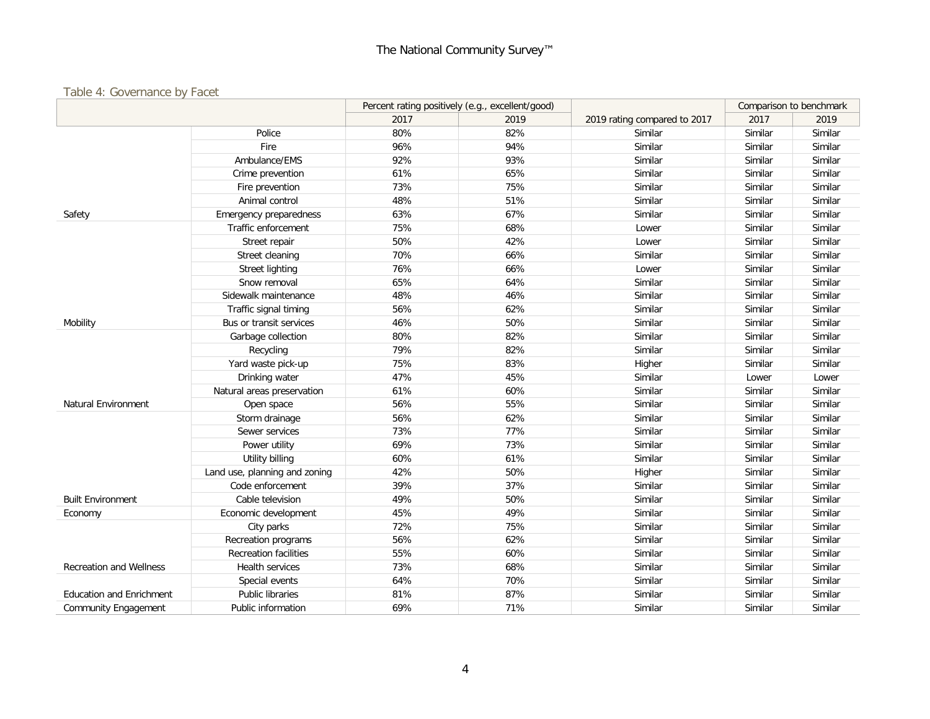#### Table 4: Governance by Facet

|                                 |                               | Percent rating positively (e.g., excellent/good) |      |                              | Comparison to benchmark |         |
|---------------------------------|-------------------------------|--------------------------------------------------|------|------------------------------|-------------------------|---------|
|                                 |                               | 2017                                             | 2019 | 2019 rating compared to 2017 | 2017                    | 2019    |
|                                 | Police                        | 80%                                              | 82%  | Similar                      | Similar                 | Similar |
|                                 | Fire                          | 96%                                              | 94%  | Similar                      | Similar                 | Similar |
|                                 | Ambulance/EMS                 | 92%                                              | 93%  | Similar                      | Similar                 | Similar |
|                                 | Crime prevention              | 61%                                              | 65%  | Similar                      | Similar                 | Similar |
|                                 | Fire prevention               | 73%                                              | 75%  | Similar                      | Similar                 | Similar |
|                                 | Animal control                | 48%                                              | 51%  | Similar                      | Similar                 | Similar |
| Safety                          | <b>Emergency preparedness</b> | 63%                                              | 67%  | Similar                      | Similar                 | Similar |
|                                 | Traffic enforcement           | 75%                                              | 68%  | Lower                        | Similar                 | Similar |
|                                 | Street repair                 | 50%                                              | 42%  | Lower                        | Similar                 | Similar |
|                                 | Street cleaning               | 70%                                              | 66%  | Similar                      | Similar                 | Similar |
|                                 | Street lighting               | 76%                                              | 66%  | Lower                        | Similar                 | Similar |
|                                 | Snow removal                  | 65%                                              | 64%  | Similar                      | Similar                 | Similar |
|                                 | Sidewalk maintenance          | 48%                                              | 46%  | Similar                      | Similar                 | Similar |
|                                 | Traffic signal timing         | 56%                                              | 62%  | Similar                      | Similar                 | Similar |
| Mobility                        | Bus or transit services       | 46%                                              | 50%  | Similar                      | Similar                 | Similar |
|                                 | Garbage collection            | 80%                                              | 82%  | Similar                      | Similar                 | Similar |
|                                 | Recycling                     | 79%                                              | 82%  | Similar                      | Similar                 | Similar |
|                                 | Yard waste pick-up            | 75%                                              | 83%  | Higher                       | Similar                 | Similar |
|                                 | Drinking water                | 47%                                              | 45%  | Similar                      | Lower                   | Lower   |
|                                 | Natural areas preservation    | 61%                                              | 60%  | Similar                      | Similar                 | Similar |
| Natural Environment             | Open space                    | 56%                                              | 55%  | Similar                      | Similar                 | Similar |
|                                 | Storm drainage                | 56%                                              | 62%  | Similar                      | Similar                 | Similar |
|                                 | Sewer services                | 73%                                              | 77%  | Similar                      | Similar                 | Similar |
|                                 | Power utility                 | 69%                                              | 73%  | Similar                      | Similar                 | Similar |
|                                 | Utility billing               | 60%                                              | 61%  | Similar                      | Similar                 | Similar |
|                                 | Land use, planning and zoning | 42%                                              | 50%  | Higher                       | Similar                 | Similar |
|                                 | Code enforcement              | 39%                                              | 37%  | Similar                      | Similar                 | Similar |
| <b>Built Environment</b>        | Cable television              | 49%                                              | 50%  | Similar                      | Similar                 | Similar |
| Economy                         | Economic development          | 45%                                              | 49%  | Similar                      | Similar                 | Similar |
|                                 | City parks                    | 72%                                              | 75%  | Similar                      | Similar                 | Similar |
|                                 | Recreation programs           | 56%                                              | 62%  | Similar                      | Similar                 | Similar |
|                                 | <b>Recreation facilities</b>  | 55%                                              | 60%  | Similar                      | Similar                 | Similar |
| <b>Recreation and Wellness</b>  | Health services               | 73%                                              | 68%  | Similar                      | Similar                 | Similar |
|                                 | Special events                | 64%                                              | 70%  | Similar                      | Similar                 | Similar |
| <b>Education and Enrichment</b> | <b>Public libraries</b>       | 81%                                              | 87%  | Similar                      | Similar                 | Similar |
| <b>Community Engagement</b>     | Public information            | 69%                                              | 71%  | Similar                      | Similar                 | Similar |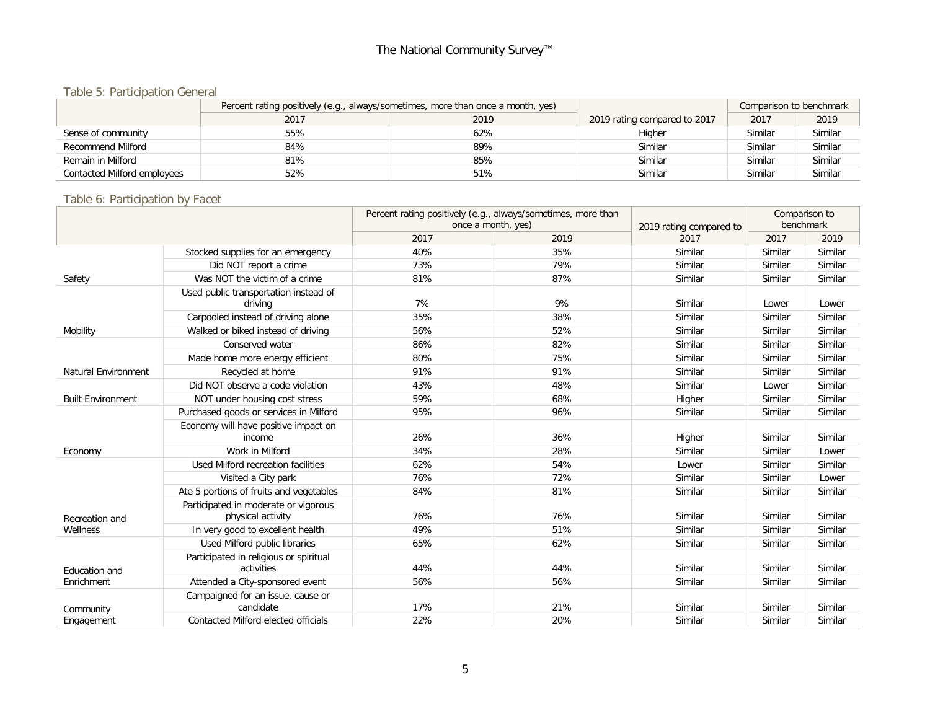## Table 5: Participation General

|                             | Percent rating positively (e.g., always/sometimes, more than once a month, yes) |      |                              | Comparison to benchmark |         |
|-----------------------------|---------------------------------------------------------------------------------|------|------------------------------|-------------------------|---------|
|                             | 2017                                                                            | 2019 | 2019 rating compared to 2017 | 2017                    | 2019    |
| Sense of community          | 55%                                                                             | 62%  | Higher                       | Similar                 | Similar |
| Recommend Milford           | 84%                                                                             | 89%  | Similar                      | Similar                 | Similar |
| Remain in Milford           | 81%                                                                             | 85%  | Similar                      | Similar                 | Similar |
| Contacted Milford employees | 52%                                                                             | 51%  | Similar                      | Similar                 | Similar |

### Table 6: Participation by Facet

|                            |                                                           | Percent rating positively (e.g., always/sometimes, more than<br>once a month, yes) |      |                                 |         | Comparison to<br>benchmark |
|----------------------------|-----------------------------------------------------------|------------------------------------------------------------------------------------|------|---------------------------------|---------|----------------------------|
|                            |                                                           | 2017                                                                               | 2019 | 2019 rating compared to<br>2017 | 2017    | 2019                       |
|                            |                                                           | 40%                                                                                | 35%  | Similar                         | Similar | Similar                    |
|                            | Stocked supplies for an emergency                         |                                                                                    | 79%  |                                 |         | Similar                    |
|                            | Did NOT report a crime                                    | 73%                                                                                |      | Similar                         | Similar |                            |
| Safety                     | Was NOT the victim of a crime                             | 81%                                                                                | 87%  | Similar                         | Similar | Similar                    |
|                            | Used public transportation instead of<br>driving          | 7%                                                                                 | 9%   | Similar                         | Lower   | Lower                      |
|                            | Carpooled instead of driving alone                        | 35%                                                                                | 38%  | Similar                         | Similar | Similar                    |
| Mobility                   | Walked or biked instead of driving                        | 56%                                                                                | 52%  | Similar                         | Similar | Similar                    |
|                            | Conserved water                                           | 86%                                                                                | 82%  | Similar                         | Similar | Similar                    |
|                            | Made home more energy efficient                           | 80%                                                                                | 75%  | Similar                         | Similar | Similar                    |
| <b>Natural Environment</b> | Recycled at home                                          | 91%                                                                                | 91%  | Similar                         | Similar | Similar                    |
|                            | Did NOT observe a code violation                          | 43%                                                                                | 48%  | Similar                         | Lower   | Similar                    |
| <b>Built Environment</b>   | NOT under housing cost stress                             | 59%                                                                                | 68%  | Higher                          | Similar | Similar                    |
|                            | Purchased goods or services in Milford                    | 95%                                                                                | 96%  | Similar                         | Similar | Similar                    |
|                            | Economy will have positive impact on<br>income            | 26%                                                                                | 36%  | Higher                          | Similar | Similar                    |
| Economy                    | Work in Milford                                           | 34%                                                                                | 28%  | Similar                         | Similar | Lower                      |
|                            | Used Milford recreation facilities                        | 62%                                                                                | 54%  | Lower                           | Similar | Similar                    |
|                            | Visited a City park                                       | 76%                                                                                | 72%  | Similar                         | Similar | Lower                      |
|                            | Ate 5 portions of fruits and vegetables                   | 84%                                                                                | 81%  | Similar                         | Similar | Similar                    |
| Recreation and             | Participated in moderate or vigorous<br>physical activity | 76%                                                                                | 76%  | Similar                         | Similar | Similar                    |
| Wellness                   | In very good to excellent health                          | 49%                                                                                | 51%  | Similar                         | Similar | Similar                    |
|                            | Used Milford public libraries                             | 65%                                                                                | 62%  | Similar                         | Similar | Similar                    |
| Education and              | Participated in religious or spiritual<br>activities      | 44%                                                                                | 44%  | Similar                         | Similar | Similar                    |
| Enrichment                 | Attended a City-sponsored event                           | 56%                                                                                | 56%  | Similar                         | Similar | Similar                    |
| Community                  | Campaigned for an issue, cause or<br>candidate            | 17%                                                                                | 21%  | Similar                         | Similar | Similar                    |
| Engagement                 | Contacted Milford elected officials                       | 22%                                                                                | 20%  | Similar                         | Similar | Similar                    |